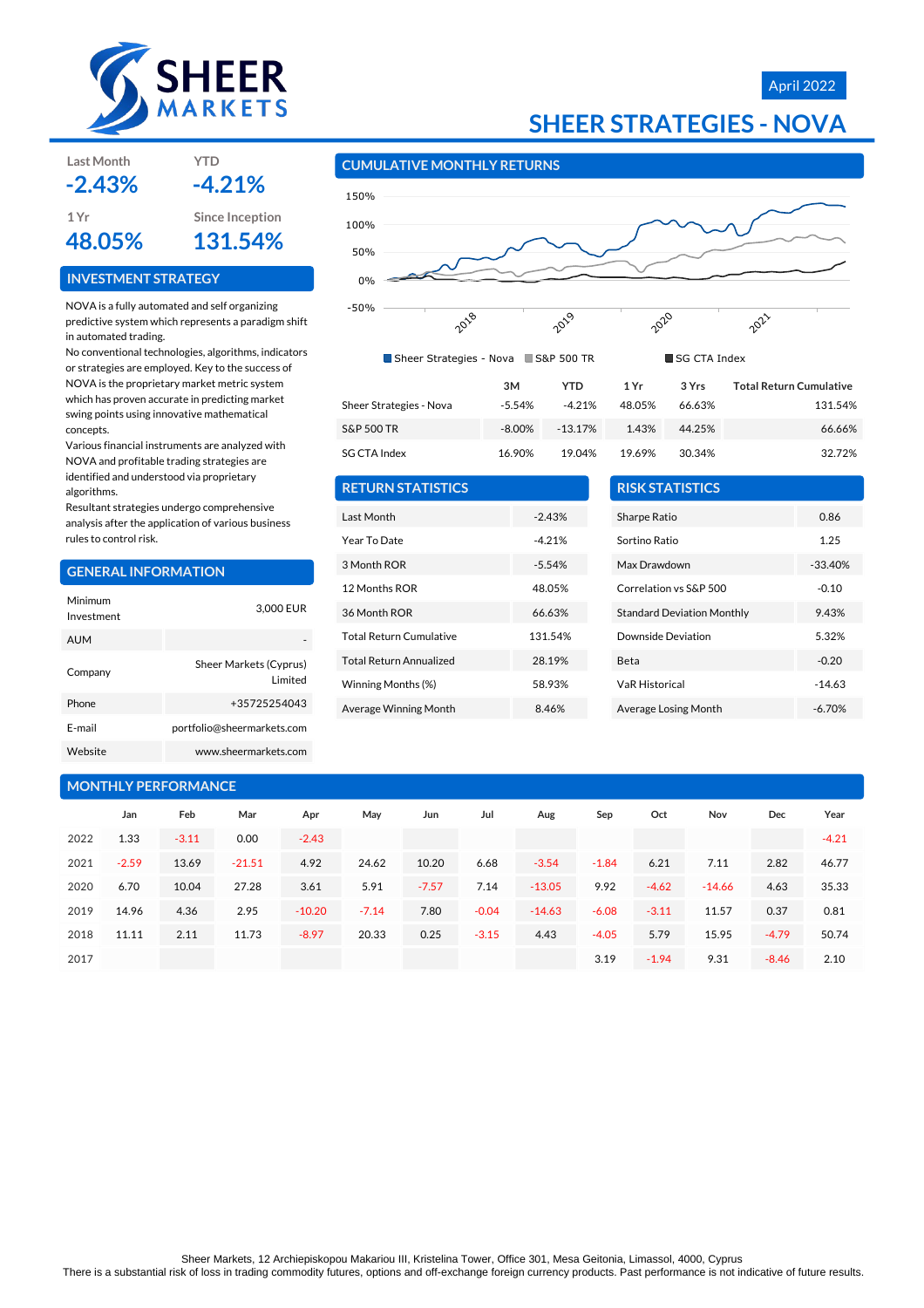

# April 2022



### **CUMULATIVE MONTHLY RETURNS**

**RETURN STATISTICS**

Last Month  $-2.43\%$ Year To Date **-4.21%** 3 Month ROR -5.54% 12 Months ROR 48.05% 36 Month ROR 66.63% Total Return Cumulative 131.54% Total Return Annualized 28.19% Winning Months (%) 58.93% Average Winning Month 8.46%



| Sheer Strategies - Nova S&P 500 TR |          |            | SG CTA Index |        |                                |  |
|------------------------------------|----------|------------|--------------|--------|--------------------------------|--|
|                                    | 3M       | <b>YTD</b> | 1 Yr         | 3 Yrs  | <b>Total Return Cumulative</b> |  |
| Sheer Strategies - Nova            | $-5.54%$ | $-4.21%$   | 48.05%       | 66.63% | 131.54%                        |  |
| S&P 500 TR                         | -8.00%   | $-13.17%$  | 1.43%        | 44.25% | 66.66%                         |  |
| SG CTA Index                       | 16.90%   | 19.04%     | 19.69%       | 30.34% | 32.72%                         |  |

| <b>Total Return Cumulative</b> | 3 Yrs  | 1 Yr   | YTD      | зм    |
|--------------------------------|--------|--------|----------|-------|
| 131.54%                        | 66.63% | 48.05% | $-4.21%$ | 5.54% |
| 66.66%                         | 44.25% | 1.43%  | -13.17%  | 8.00% |
| 32.72%                         | 30.34% | 19.69% | 19.04%   | 6.90% |

| <b>RISK STATISTICS</b>            |           |
|-----------------------------------|-----------|
| Sharpe Ratio                      | 0.86      |
| Sortino Ratio                     | 1.25      |
| Max Drawdown                      | $-33.40%$ |
| Correlation vs S&P 500            | $-0.10$   |
| <b>Standard Deviation Monthly</b> | 943%      |
| Downside Deviation                | 5.32%     |
| Beta                              | $-0.20$   |
| <b>VaR Historical</b>             | $-14.63$  |
| Average Losing Month              | $-6.70%$  |

| Last Month<br>$-2.43%$ | YTD<br>$-4.21%$ |
|------------------------|-----------------|
| 1 Yr                   | Since Inception |
| 48.05%                 | 131.54%         |

#### **INVESTMENT STRATEGY**

NOVA is a fully automated and self organizing predictive system which represents a paradigm shift in automated trading.

No conventional technologies, algorithms, indicators or strategies are employed. Key to the success of NOVA is the proprietary market metric system which has proven accurate in predicting market swing points using innovative mathematical concepts.

Various financial instruments are analyzed with NOVA and profitable trading strategies are identified and understood via proprietary algorithms.

Resultant strategies undergo comprehensive analysis after the application of various business rules to control risk.

#### **GENERAL INFORMATION**

| Minimum<br>Investment | 3,000 EUR                          |
|-----------------------|------------------------------------|
| <b>AUM</b>            |                                    |
| Company               | Sheer Markets (Cyprus)<br>I imited |
| Phone                 | +35725254043                       |
| F-mail                | portfolio@sheermarkets.com         |
| Website               | www.sheermarkets.com               |

|      |         | <b>MONTHLY PERFORMANCE</b> |          |          |         |         |         |          |         |         |          |         |         |
|------|---------|----------------------------|----------|----------|---------|---------|---------|----------|---------|---------|----------|---------|---------|
|      | Jan     | Feb                        | Mar      | Apr      | May     | Jun     | Jul     | Aug      | Sep     | Oct     | Nov      | Dec     | Year    |
| 2022 | 1.33    | $-3.11$                    | 0.00     | $-2.43$  |         |         |         |          |         |         |          |         | $-4.21$ |
| 2021 | $-2.59$ | 13.69                      | $-21.51$ | 4.92     | 24.62   | 10.20   | 6.68    | $-3.54$  | $-1.84$ | 6.21    | 7.11     | 2.82    | 46.77   |
| 2020 | 6.70    | 10.04                      | 27.28    | 3.61     | 5.91    | $-7.57$ | 7.14    | $-13.05$ | 9.92    | $-4.62$ | $-14.66$ | 4.63    | 35.33   |
| 2019 | 14.96   | 4.36                       | 2.95     | $-10.20$ | $-7.14$ | 7.80    | $-0.04$ | $-14.63$ | $-6.08$ | $-3.11$ | 11.57    | 0.37    | 0.81    |
| 2018 | 11.11   | 2.11                       | 11.73    | $-8.97$  | 20.33   | 0.25    | $-3.15$ | 4.43     | $-4.05$ | 5.79    | 15.95    | $-4.79$ | 50.74   |
| 2017 |         |                            |          |          |         |         |         |          | 3.19    | $-1.94$ | 9.31     | $-8.46$ | 2.10    |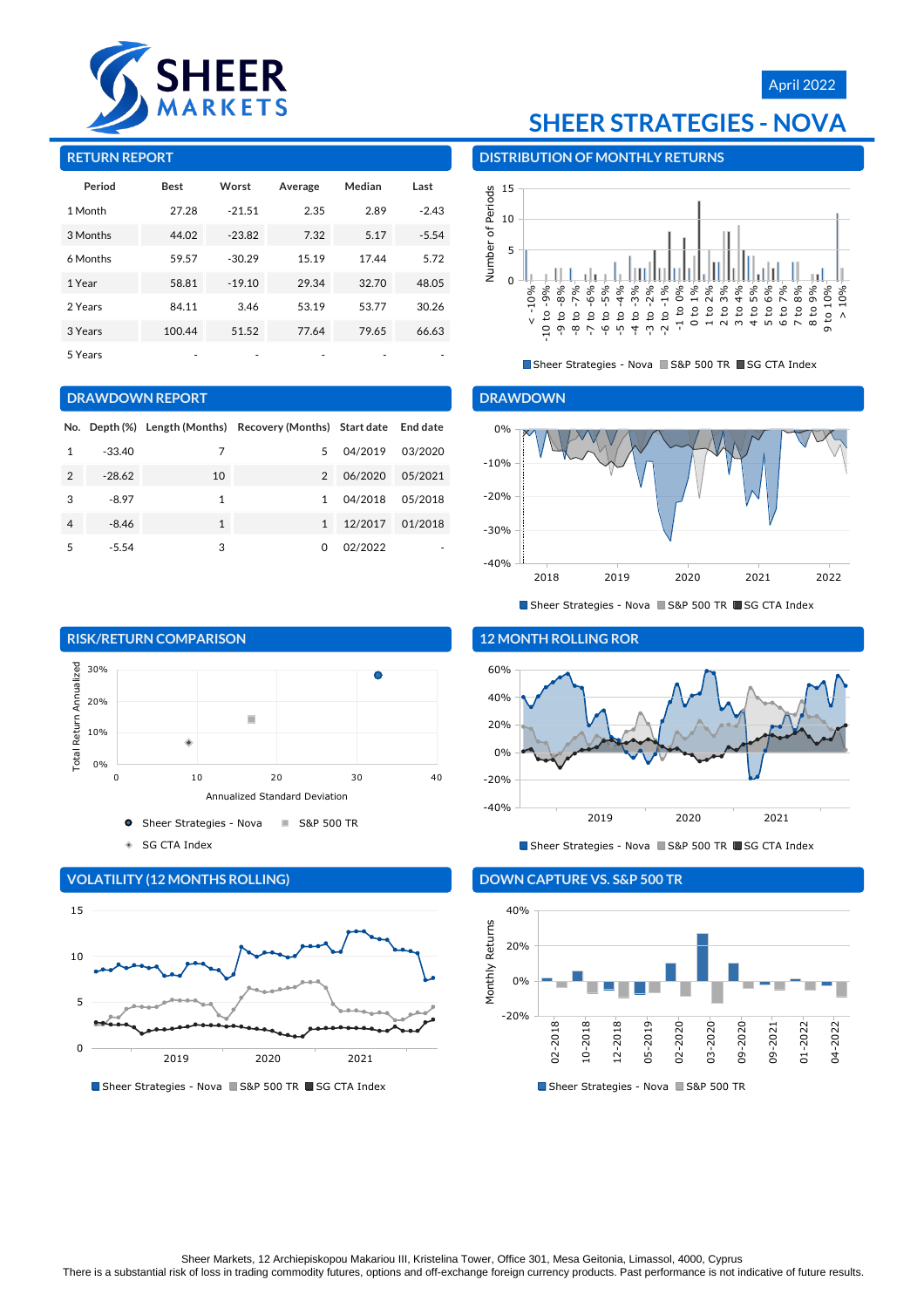

# April 2022

#### **RETURN REPORT**

| Period   | <b>Best</b> | Worst    | Average | Median | Last    |
|----------|-------------|----------|---------|--------|---------|
| 1 Month  | 27.28       | $-21.51$ | 2.35    | 2.89   | $-2.43$ |
| 3 Months | 44.02       | $-23.82$ | 7.32    | 5.17   | $-5.54$ |
| 6 Months | 59.57       | $-30.29$ | 15.19   | 17.44  | 5.72    |
| 1 Year   | 58.81       | $-19.10$ | 29.34   | 32.70  | 48.05   |
| 2 Years  | 84.11       | 3.46     | 53.19   | 53.77  | 30.26   |
| 3 Years  | 100.44      | 51.52    | 77.64   | 79.65  | 66.63   |
| 5 Years  |             |          |         |        |         |

#### **DRAWDOWN REPORT**

|                |          |    | No. Depth (%) Length (Months) Recovery (Months) Start date End date |         |         |
|----------------|----------|----|---------------------------------------------------------------------|---------|---------|
| 1              | $-33.40$ | 7  | 5                                                                   | 04/2019 | 03/2020 |
| $\mathfrak{D}$ | $-28.62$ | 10 | $\mathcal{P}$                                                       | 06/2020 | 05/2021 |
| 3              | $-8.97$  | 1  | 1                                                                   | 04/2018 | 05/2018 |
| 4              | $-8.46$  | 1  | $\mathbf{1}$                                                        | 12/2017 | 01/2018 |
| 5              | $-5.54$  | 3  | 0                                                                   | 02/2022 |         |

# **SHEER STRATEGIES - NOVA**

**DISTRIBUTION OF MONTHLY RETURNS**



Sheer Strategies - Nova S&P 500 TR SG CTA Index

#### **DRAWDOWN**



Sheer Strategies - Nova S&P 500 TR SG CTA Index







Sheer Strategies - Nova S&P 500 TR SG CTA Index

#### **12 MONTH ROLLING ROR**



Sheer Strategies - Nova S&P 500 TR SG CTA Index

#### **DOWN CAPTURE VS. S&P 500 TR**